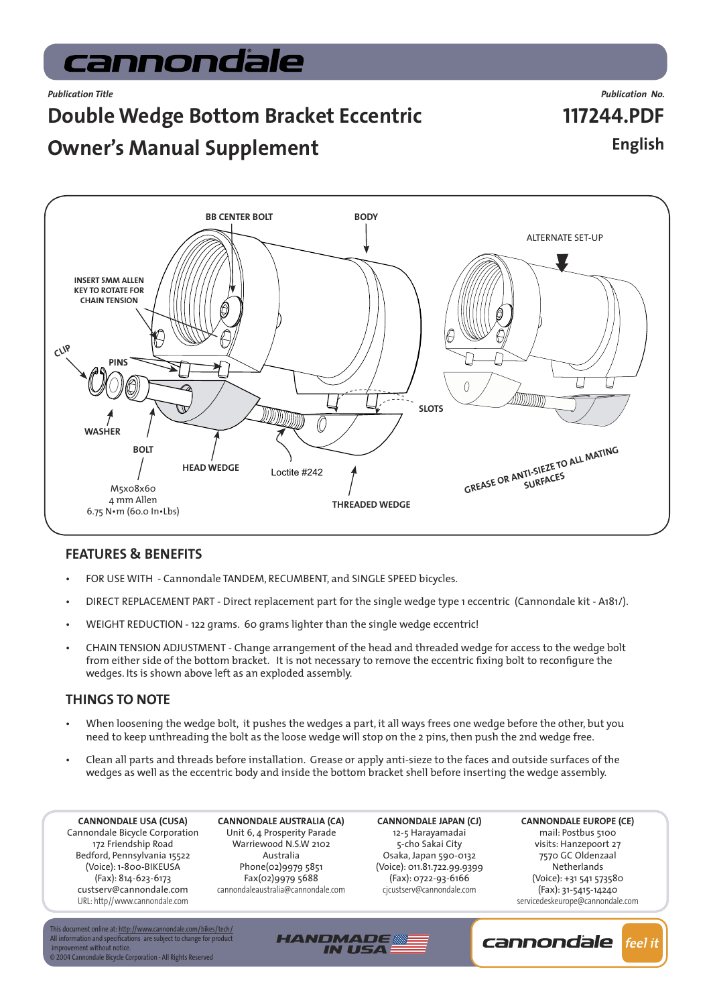# cannondale

## **Double Wedge Bottom Bracket Eccentric**

*Publication Title Publication No.* **117244.PDF English**

## **Owner's Manual Supplement**



#### **FEATURES & BENEFITS**

- FOR USE WITH Cannondale TANDEM, RECUMBENT, and SINGLE SPEED bicycles.
- DIRECT REPLACEMENT PART Direct replacement part for the single wedge type 1 eccentric (Cannondale kit A181/).
- WEIGHT REDUCTION 122 grams. 60 grams lighter than the single wedge eccentric!
- CHAIN TENSION ADJUSTMENT Change arrangement of the head and threaded wedge for access to the wedge bolt from either side of the bottom bracket. It is not necessary to remove the eccentric fixing bolt to reconfigure the wedges. Its is shown above left as an exploded assembly.

#### **THINGS TO NOTE**

- When loosening the wedge bolt, it pushes the wedges a part, it all ways frees one wedge before the other, but you need to keep unthreading the bolt as the loose wedge will stop on the 2 pins, then push the 2nd wedge free.
- Clean all parts and threads before installation. Grease or apply anti-sieze to the faces and outside surfaces of the wedges as well as the eccentric body and inside the bottom bracket shell before inserting the wedge assembly.

**HANDMADE** 

**IN USA** 

**CANNONDALE USA (CUSA)** Cannondale Bicycle Corporation 172 Friendship Road Bedford, Pennsylvania 15522 (Voice): 1-800-BIKEUSA (Fax): 814-623-6173 custserv@cannondale.com [URL: http//www.cannondale.com](http://www.cannondale.com)

**CANNONDALE AUSTRALIA (CA)** Unit 6, 4 Prosperity Parade Warriewood N.S.W 2102 Australia Phone(02)9979 5851 Fax(02)9979 5688 cannondaleaustralia@cannondale.com

**CANNONDALE JAPAN (CJ)** 12-5 Harayamadai 5-cho Sakai City Osaka, Japan 590-0132 (Voice): 011.81.722.99.9399 (Fax): 0722-93-6166 cjcustserv@cannondale.com

**CANNONDALE EUROPE (CE)** mail: Postbus 5100 visits: Hanzepoort 27 7570 GC Oldenzaal **Netherlands** (Voice): +31 541 573580 (Fax): 31-5415-14240 servicedeskeurope@cannondale.com

This document online at: <u>http://www.cannondale.com/bikes/tech/</u><br>All information and specifications are subject to change for product improvement without notice. © 2004 Cannondale Bicycle Corporation - All Rights Reserved